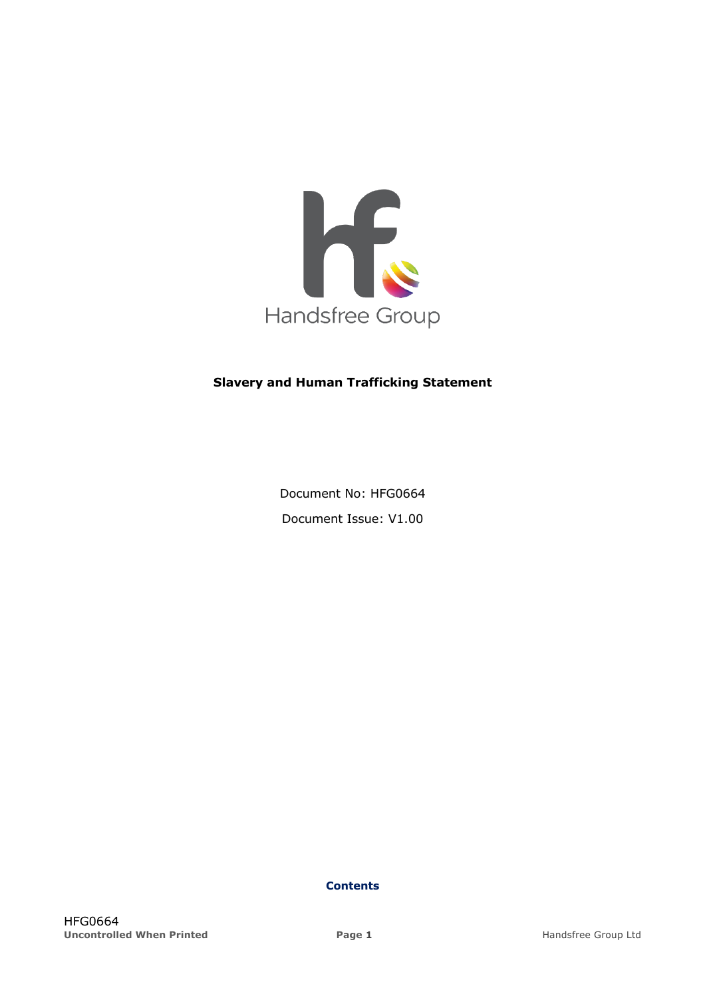

## **Slavery and Human Trafficking Statement**

Document No: HFG0664 Document Issue: V1.00

**Contents**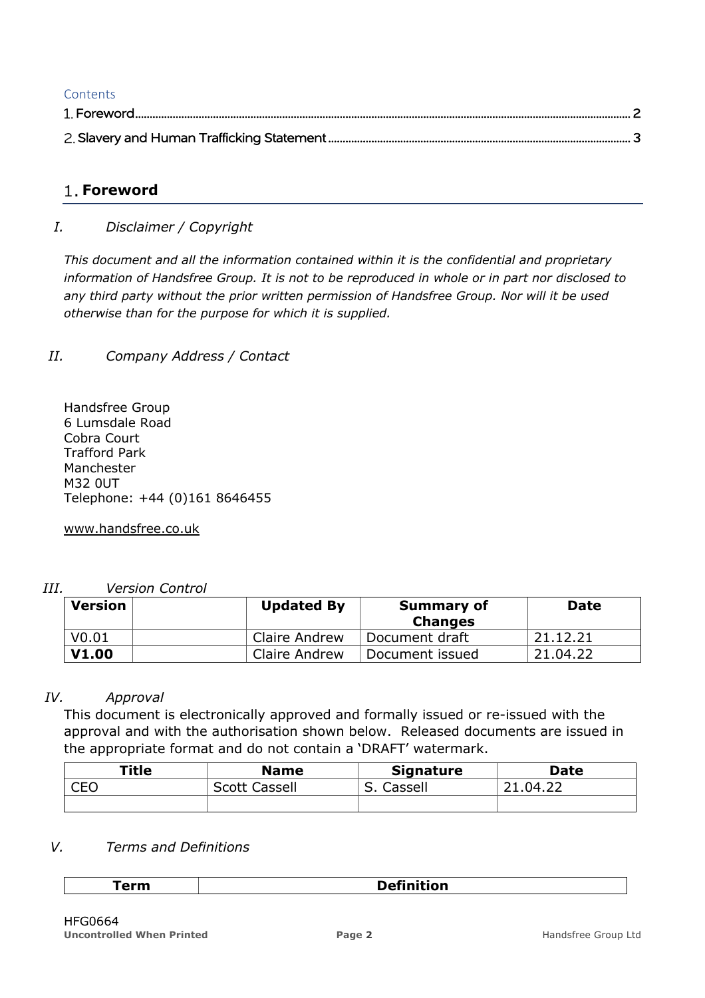# **Contents**

# **Foreword**

# *I. Disclaimer / Copyright*

*This document and all the information contained within it is the confidential and proprietary information of Handsfree Group. It is not to be reproduced in whole or in part nor disclosed to any third party without the prior written permission of Handsfree Group. Nor will it be used otherwise than for the purpose for which it is supplied.*

# *II. Company Address / Contact*

Handsfree Group 6 Lumsdale Road Cobra Court Trafford Park Manchester M32 0UT Telephone: +44 (0)161 8646455

www.handsfree.co.uk

## *III. Version Control*

| <b>Version</b>    | <b>Updated By</b> | <b>Summary of</b><br><b>Changes</b> | <b>Date</b> |
|-------------------|-------------------|-------------------------------------|-------------|
| V <sub>0.01</sub> | Claire Andrew     | Document draft                      | 21.12.21    |
| <b>V1.00</b>      | Claire Andrew     | Document issued                     | 21.04.22    |

## *IV. Approval*

This document is electronically approved and formally issued or re-issued with the approval and with the authorisation shown below. Released documents are issued in the appropriate format and do not contain a 'DRAFT' watermark.

| <b>Title</b> | <b>Name</b>          | <b>Signature</b> | <b>Date</b> |
|--------------|----------------------|------------------|-------------|
| r=r<br>◡∟◡   | <b>Scott Cassell</b> | Cassell          | 21.04.22    |
|              |                      |                  |             |

## *V. Terms and Definitions*

#### **Term Definition**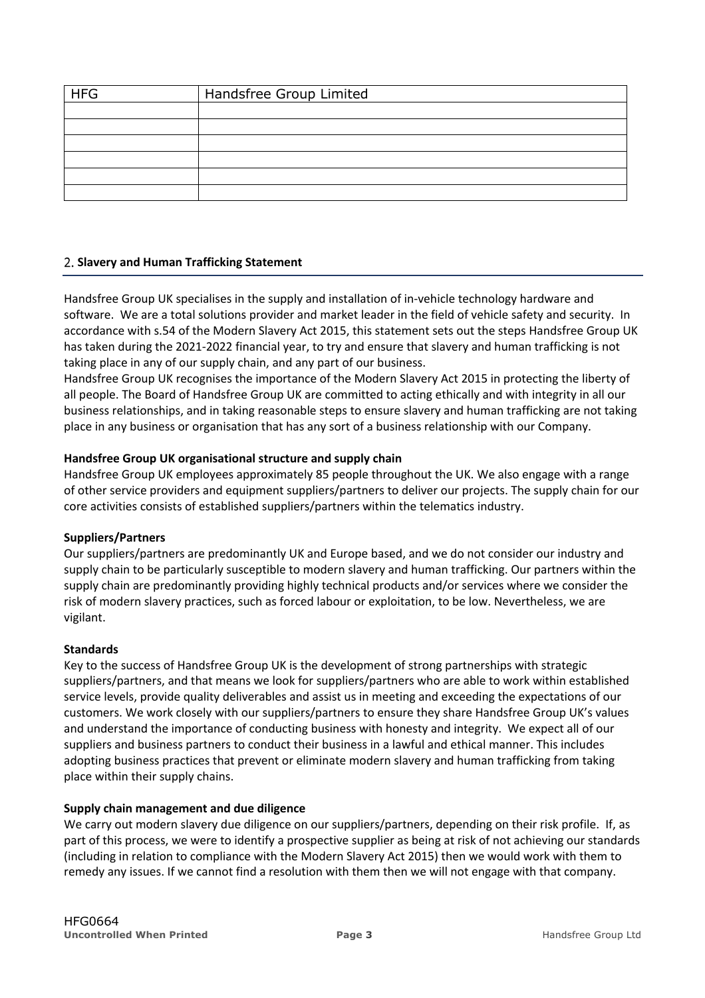| <b>HFG</b> | Handsfree Group Limited |  |  |
|------------|-------------------------|--|--|
|            |                         |  |  |
|            |                         |  |  |
|            |                         |  |  |
|            |                         |  |  |
|            |                         |  |  |
|            |                         |  |  |

#### **Slavery and Human Trafficking Statement**

Handsfree Group UK specialises in the supply and installation of in-vehicle technology hardware and software. We are a total solutions provider and market leader in the field of vehicle safety and security. In accordance with s.54 of the Modern Slavery Act 2015, this statement sets out the steps Handsfree Group UK has taken during the 2021-2022 financial year, to try and ensure that slavery and human trafficking is not taking place in any of our supply chain, and any part of our business.

Handsfree Group UK recognises the importance of the Modern Slavery Act 2015 in protecting the liberty of all people. The Board of Handsfree Group UK are committed to acting ethically and with integrity in all our business relationships, and in taking reasonable steps to ensure slavery and human trafficking are not taking place in any business or organisation that has any sort of a business relationship with our Company.

#### **Handsfree Group UK organisational structure and supply chain**

Handsfree Group UK employees approximately 85 people throughout the UK. We also engage with a range of other service providers and equipment suppliers/partners to deliver our projects. The supply chain for our core activities consists of established suppliers/partners within the telematics industry.

#### **Suppliers/Partners**

Our suppliers/partners are predominantly UK and Europe based, and we do not consider our industry and supply chain to be particularly susceptible to modern slavery and human trafficking. Our partners within the supply chain are predominantly providing highly technical products and/or services where we consider the risk of modern slavery practices, such as forced labour or exploitation, to be low. Nevertheless, we are vigilant.

#### **Standards**

Key to the success of Handsfree Group UK is the development of strong partnerships with strategic suppliers/partners, and that means we look for suppliers/partners who are able to work within established service levels, provide quality deliverables and assist us in meeting and exceeding the expectations of our customers. We work closely with our suppliers/partners to ensure they share Handsfree Group UK's values and understand the importance of conducting business with honesty and integrity. We expect all of our suppliers and business partners to conduct their business in a lawful and ethical manner. This includes adopting business practices that prevent or eliminate modern slavery and human trafficking from taking place within their supply chains.

#### **Supply chain management and due diligence**

We carry out modern slavery due diligence on our suppliers/partners, depending on their risk profile. If, as part of this process, we were to identify a prospective supplier as being at risk of not achieving our standards (including in relation to compliance with the Modern Slavery Act 2015) then we would work with them to remedy any issues. If we cannot find a resolution with them then we will not engage with that company.